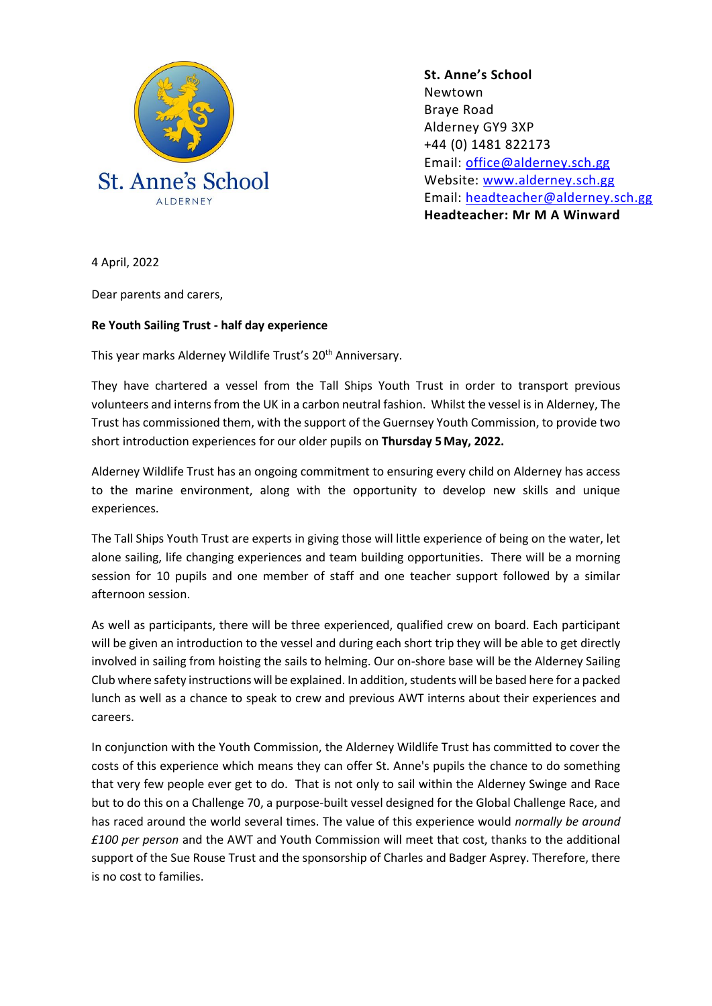

**St. Anne's School**  Newtown Braye Road Alderney GY9 3XP +44 (0) 1481 822173 Email: [office@alderney.sch.gg](mailto:office@alderney.sch.gg) Website: [www.alderney.sch.gg](http://www.alderney.sch.gg/) Email: [headteacher@alderney.sch.gg](mailto:headteacher@alderney.sch.gg) **Headteacher: Mr M A Winward**

4 April, 2022

Dear parents and carers,

## **Re Youth Sailing Trust - half day experience**

This year marks Alderney Wildlife Trust's 20<sup>th</sup> Anniversary.

They have chartered a vessel from the Tall Ships Youth Trust in order to transport previous volunteers and interns from the UK in a carbon neutral fashion. Whilst the vessel is in Alderney, The Trust has commissioned them, with the support of the Guernsey Youth Commission, to provide two short introduction experiences for our older pupils on **Thursday 5 May, 2022.**

Alderney Wildlife Trust has an ongoing commitment to ensuring every child on Alderney has access to the marine environment, along with the opportunity to develop new skills and unique experiences.

The Tall Ships Youth Trust are experts in giving those will little experience of being on the water, let alone sailing, life changing experiences and team building opportunities. There will be a morning session for 10 pupils and one member of staff and one teacher support followed by a similar afternoon session.

As well as participants, there will be three experienced, qualified crew on board. Each participant will be given an introduction to the vessel and during each short trip they will be able to get directly involved in sailing from hoisting the sails to helming. Our on-shore base will be the Alderney Sailing Club where safety instructions will be explained. In addition, students will be based here for a packed lunch as well as a chance to speak to crew and previous AWT interns about their experiences and careers.

In conjunction with the Youth Commission, the Alderney Wildlife Trust has committed to cover the costs of this experience which means they can offer St. Anne's pupils the chance to do something that very few people ever get to do. That is not only to sail within the Alderney Swinge and Race but to do this on a Challenge 70, a purpose-built vessel designed for the Global Challenge Race, and has raced around the world several times. The value of this experience would *normally be around £100 per person* and the AWT and Youth Commission will meet that cost, thanks to the additional support of the Sue Rouse Trust and the sponsorship of Charles and Badger Asprey. Therefore, there is no cost to families.